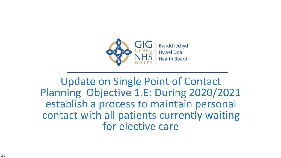

Update on Single Point of Contact Planning Objective 1.E: During 2020/2021 establish a process to maintain personal contact with all patients currently waiting for elective care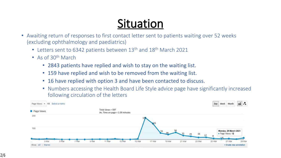## **Situation**

- Awaiting return of responses to first contact letter sent to patients waiting over 52 weeks (excluding ophthalmology and paediatrics)
	- Letters sent to 6342 patients between 13<sup>th</sup> and 18<sup>th</sup> March 2021
	- As of 30<sup>th</sup> March
		- 2843 patients have replied and wish to stay on the waiting list.
		- 159 have replied and wish to be removed from the waiting list.
		- 16 have replied with option 3 and have been contacted to discuss.
		- Numbers accessing the Health Board Life Style advice page have significantly increased following circulation of the letters

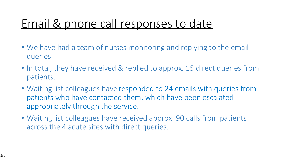### Email & phone call responses to date

- We have had a team of nurses monitoring and replying to the email queries.
- In total, they have received & replied to approx. 15 direct queries from patients.
- Waiting list colleagues have responded to 24 emails with queries from patients who have contacted them, which have been escalated appropriately through the service.
- Waiting list colleagues have received approx. 90 calls from patients across the 4 acute sites with direct queries.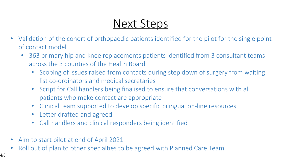#### Next Steps

- Validation of the cohort of orthopaedic patients identified for the pilot for the single point of contact model
	- 363 primary hip and knee replacements patients identified from 3 consultant teams across the 3 counties of the Health Board
		- Scoping of issues raised from contacts during step down of surgery from waiting list co-ordinators and medical secretaries
		- Script for Call handlers being finalised to ensure that conversations with all patients who make contact are appropriate
		- Clinical team supported to develop specific bilingual on-line resources
		- Letter drafted and agreed
		- Call handlers and clinical responders being identified
- Aim to start pilot at end of April 2021
- Roll out of plan to other specialties to be agreed with Planned Care Team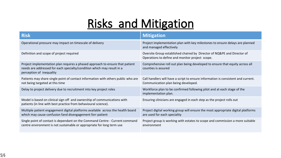# **Risks and Mitigation**

| <b>Risk</b>                                                                                                                                                                         | <b>Mitigation</b>                                                                                                          |
|-------------------------------------------------------------------------------------------------------------------------------------------------------------------------------------|----------------------------------------------------------------------------------------------------------------------------|
| Operational pressure may impact on timescale of delivery                                                                                                                            | Project implementation plan with key milestones to ensure delays are planned<br>and managed effectively                    |
| Definition and scope of project required                                                                                                                                            | Oversite Group established chaired by Director of NQ&PE and Director of<br>Operations to define and monitor project scope. |
| Project implementation plan requires a phased approach to ensure that patient<br>needs are addressed for each specialty/condition which may result in a<br>perception of inequality | Comprehensive roll out plan being developed to ensure that equity across all<br>counties is assured                        |
| Patients may share single point of contact information with others public who are<br>not being targeted at this time                                                                | Call handlers will have a script to ensure information is consistent and current.<br>Communication plan being developed.   |
| Delay to project delivery due to recruitment into key project roles                                                                                                                 | Workforce plan to be confirmed following pilot and at each stage of the<br>implementation plan.                            |
| Model is based on clinical sign off and ownership of communications with<br>patients (in line with best practice from behavioural science).                                         | Ensuring clinicians are engaged in each step as the project rolls out                                                      |
| Multiple patient engagement digital platforms available across the health board<br>which may cause confusion fand disengagement forr patient                                        | Project digital working group will ensure the most appropriate digital platforms<br>are used for each speciality           |
| Single point of contact is dependant on the Command Centre - Current command<br>centre environment is not sustainable or appropriate for long term use                              | Project group is working with estates to scope and commission a more suitable<br>environment                               |